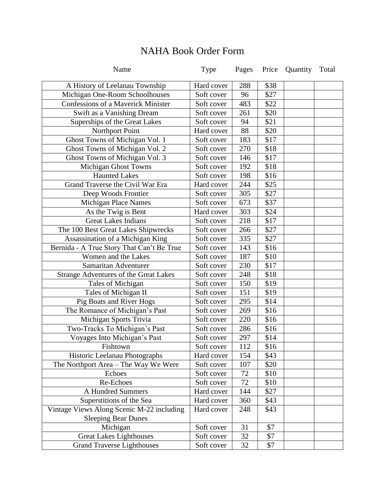| Name                                         | Type       | Pages | Price | Quantity | Total |
|----------------------------------------------|------------|-------|-------|----------|-------|
| A History of Leelanau Township               | Hard cover | 288   | \$38  |          |       |
| Michigan One-Room Schoolhouses               | Soft cover | 96    | \$27  |          |       |
| <b>Confessions of a Maverick Minister</b>    | Soft cover | 483   | \$22  |          |       |
| Swift as a Vanishing Dream                   | Soft cover | 261   | \$20  |          |       |
| Superships of the Great Lakes                | Soft cover | 94    | \$21  |          |       |
| Northport Point                              | Hard cover | 88    | \$20  |          |       |
| Ghost Towns of Michigan Vol. 1               | Soft cover | 183   | \$17  |          |       |
| Ghost Towns of Michigan Vol. 2               | Soft cover | 270   | \$18  |          |       |
| Ghost Towns of Michigan Vol. 3               | Soft cover | 146   | \$17  |          |       |
| Michigan Ghost Towns                         | Soft cover | 192   | \$18  |          |       |
| <b>Haunted Lakes</b>                         | Soft cover | 198   | \$16  |          |       |
| Grand Traverse the Civil War Era             | Hard cover | 244   | \$25  |          |       |
| Deep Woods Frontier                          | Soft cover | 305   | \$27  |          |       |
| <b>Michigan Place Names</b>                  | Soft cover | 673   | \$37  |          |       |
| As the Twig is Bent                          | Hard cover | 303   | \$24  |          |       |
| <b>Great Lakes Indians</b>                   | Soft cover | 218   | \$17  |          |       |
| The 100 Best Great Lakes Shipwrecks          | Soft cover | 266   | \$27  |          |       |
| Assassination of a Michigan King             | Soft cover | 335   | \$27  |          |       |
| Bernida - A True Story That Can't Be True    | Soft cover | 143   | \$16  |          |       |
| Women and the Lakes                          | Soft cover | 187   | \$10  |          |       |
| Samaritan Adventurer                         | Soft cover | 230   | \$17  |          |       |
| <b>Strange Adventures of the Great Lakes</b> | Soft cover | 248   | \$18  |          |       |
| Tales of Michigan                            | Soft cover | 150   | \$19  |          |       |
| Tales of Michigan II                         | Soft cover | 151   | \$19  |          |       |
| Pig Boats and River Hogs                     | Soft cover | 295   | \$14  |          |       |
| The Romance of Michigan's Past               | Soft cover | 269   | \$16  |          |       |
| Michigan Sports Trivia                       | Soft cover | 220   | \$16  |          |       |
| Two-Tracks To Michigan's Past                | Soft cover | 286   | \$16  |          |       |
| Voyages Into Michigan's Past                 | Soft cover | 297   | \$14  |          |       |
| Fishtown                                     | Soft cover | 112   | \$16  |          |       |
| Historic Leelanau Photographs                | Hard cover | 154   | \$43  |          |       |
| The Northport Area - The Way We Were         | Soft cover | 107   | \$20  |          |       |
| Echoes                                       | Soft cover | 72    | \$10  |          |       |
| Re-Echoes                                    | Soft cover | 72    | \$10  |          |       |
| <b>A Hundred Summers</b>                     | Hard cover | 144   | \$27  |          |       |
| Superstitions of the Sea                     | Hard cover | 360   | \$43  |          |       |
| Vintage Views Along Scenic M-22 including    | Hard cover | 248   | \$43  |          |       |
| <b>Sleeping Bear Dunes</b>                   |            |       |       |          |       |
| Michigan                                     | Soft cover | 31    | \$7   |          |       |
| <b>Great Lakes Lighthouses</b>               | Soft cover | 32    | \$7   |          |       |
| <b>Grand Traverse Lighthouses</b>            | Soft cover | 32    | \$7   |          |       |

## NAHA Book Order Form